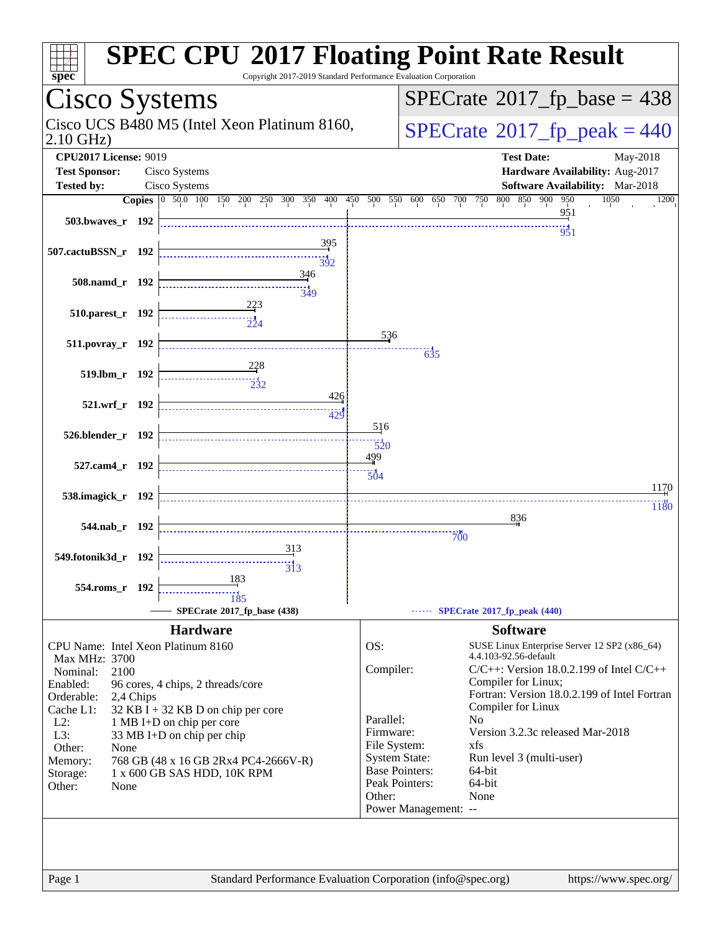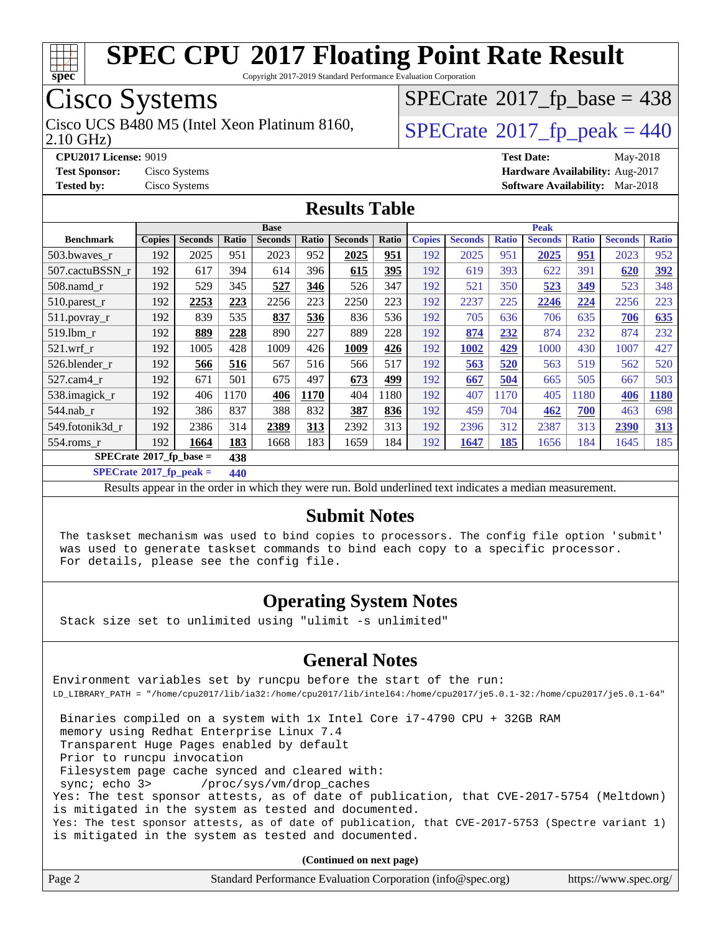

Copyright 2017-2019 Standard Performance Evaluation Corporation

## Cisco Systems

2.10 GHz) Cisco UCS B480 M5 (Intel Xeon Platinum 8160,  $\vert$  [SPECrate](http://www.spec.org/auto/cpu2017/Docs/result-fields.html#SPECrate2017fppeak)®[2017\\_fp\\_peak = 4](http://www.spec.org/auto/cpu2017/Docs/result-fields.html#SPECrate2017fppeak)40

 $SPECTate$ <sup>®</sup>[2017\\_fp\\_base =](http://www.spec.org/auto/cpu2017/Docs/result-fields.html#SPECrate2017fpbase) 438

**[CPU2017 License:](http://www.spec.org/auto/cpu2017/Docs/result-fields.html#CPU2017License)** 9019 **[Test Date:](http://www.spec.org/auto/cpu2017/Docs/result-fields.html#TestDate)** May-2018 **[Test Sponsor:](http://www.spec.org/auto/cpu2017/Docs/result-fields.html#TestSponsor)** Cisco Systems **[Hardware Availability:](http://www.spec.org/auto/cpu2017/Docs/result-fields.html#HardwareAvailability)** Aug-2017 **[Tested by:](http://www.spec.org/auto/cpu2017/Docs/result-fields.html#Testedby)** Cisco Systems **[Software Availability:](http://www.spec.org/auto/cpu2017/Docs/result-fields.html#SoftwareAvailability)** Mar-2018

### **[Results Table](http://www.spec.org/auto/cpu2017/Docs/result-fields.html#ResultsTable)**

|                                           | <b>Base</b>   |                |       |                |       |                | <b>Peak</b> |               |                |              |                |              |                |              |
|-------------------------------------------|---------------|----------------|-------|----------------|-------|----------------|-------------|---------------|----------------|--------------|----------------|--------------|----------------|--------------|
| <b>Benchmark</b>                          | <b>Copies</b> | <b>Seconds</b> | Ratio | <b>Seconds</b> | Ratio | <b>Seconds</b> | Ratio       | <b>Copies</b> | <b>Seconds</b> | <b>Ratio</b> | <b>Seconds</b> | <b>Ratio</b> | <b>Seconds</b> | <b>Ratio</b> |
| 503.bwaves_r                              | 192           | 2025           | 951   | 2023           | 952   | 2025           | 951         | 192           | 2025           | 951          | 2025           | 951          | 2023           | 952          |
| 507.cactuBSSN r                           | 192           | 617            | 394   | 614            | 396   | 615            | 395         | 192           | 619            | 393          | 622            | 391          | 620            | 392          |
| $508$ .namd $r$                           | 192           | 529            | 345   | 527            | 346   | 526            | 347         | 192           | 521            | 350          | 523            | 349          | 523            | 348          |
| 510.parest_r                              | 192           | 2253           | 223   | 2256           | 223   | 2250           | 223         | 192           | 2237           | 225          | 2246           | 224          | 2256           | 223          |
| 511.povray_r                              | 192           | 839            | 535   | 837            | 536   | 836            | 536         | 192           | 705            | 636          | 706            | 635          | 706            | 635          |
| 519.1bm r                                 | 192           | 889            | 228   | 890            | 227   | 889            | 228         | 192           | 874            | 232          | 874            | 232          | 874            | 232          |
| $521$ .wrf r                              | 192           | 1005           | 428   | 1009           | 426   | 1009           | 426         | 192           | 1002           | 429          | 1000           | 430          | 1007           | 427          |
| 526.blender r                             | 192           | 566            | 516   | 567            | 516   | 566            | 517         | 192           | 563            | 520          | 563            | 519          | 562            | 520          |
| $527.cam4_r$                              | 192           | 671            | 501   | 675            | 497   | 673            | 499         | 192           | 667            | 504          | 665            | 505          | 667            | 503          |
| 538.imagick_r                             | 192           | 406            | 1170  | 406            | 1170  | 404            | 1180        | 192           | 407            | 1170         | 405            | 1180         | 406            | 1180         |
| $544$ .nab r                              | 192           | 386            | 837   | 388            | 832   | 387            | 836         | 192           | 459            | 704          | 462            | 700          | 463            | 698          |
| 549.fotonik3d r                           | 192           | 2386           | 314   | 2389           | 313   | 2392           | 313         | 192           | 2396           | 312          | 2387           | 313          | 2390           | 313          |
| $554$ .roms $r$                           | 192           | 1664           | 183   | 1668           | 183   | 1659           | 184         | 192           | 1647           | 185          | 1656           | 184          | 1645           | 185          |
| $SPECrate^{\otimes}2017$ fp base =<br>438 |               |                |       |                |       |                |             |               |                |              |                |              |                |              |

**[SPECrate](http://www.spec.org/auto/cpu2017/Docs/result-fields.html#SPECrate2017fppeak)[2017\\_fp\\_peak =](http://www.spec.org/auto/cpu2017/Docs/result-fields.html#SPECrate2017fppeak) 440**

Results appear in the [order in which they were run](http://www.spec.org/auto/cpu2017/Docs/result-fields.html#RunOrder). Bold underlined text [indicates a median measurement](http://www.spec.org/auto/cpu2017/Docs/result-fields.html#Median).

### **[Submit Notes](http://www.spec.org/auto/cpu2017/Docs/result-fields.html#SubmitNotes)**

 The taskset mechanism was used to bind copies to processors. The config file option 'submit' was used to generate taskset commands to bind each copy to a specific processor. For details, please see the config file.

### **[Operating System Notes](http://www.spec.org/auto/cpu2017/Docs/result-fields.html#OperatingSystemNotes)**

Stack size set to unlimited using "ulimit -s unlimited"

### **[General Notes](http://www.spec.org/auto/cpu2017/Docs/result-fields.html#GeneralNotes)**

Environment variables set by runcpu before the start of the run: LD\_LIBRARY\_PATH = "/home/cpu2017/lib/ia32:/home/cpu2017/lib/intel64:/home/cpu2017/je5.0.1-32:/home/cpu2017/je5.0.1-64"

 Binaries compiled on a system with 1x Intel Core i7-4790 CPU + 32GB RAM memory using Redhat Enterprise Linux 7.4 Transparent Huge Pages enabled by default Prior to runcpu invocation Filesystem page cache synced and cleared with: sync; echo 3> /proc/sys/vm/drop\_caches Yes: The test sponsor attests, as of date of publication, that CVE-2017-5754 (Meltdown) is mitigated in the system as tested and documented. Yes: The test sponsor attests, as of date of publication, that CVE-2017-5753 (Spectre variant 1) is mitigated in the system as tested and documented.

**(Continued on next page)**

| Page 2<br>Standard Performance Evaluation Corporation (info@spec.org)<br>https://www.spec.org/ |
|------------------------------------------------------------------------------------------------|
|------------------------------------------------------------------------------------------------|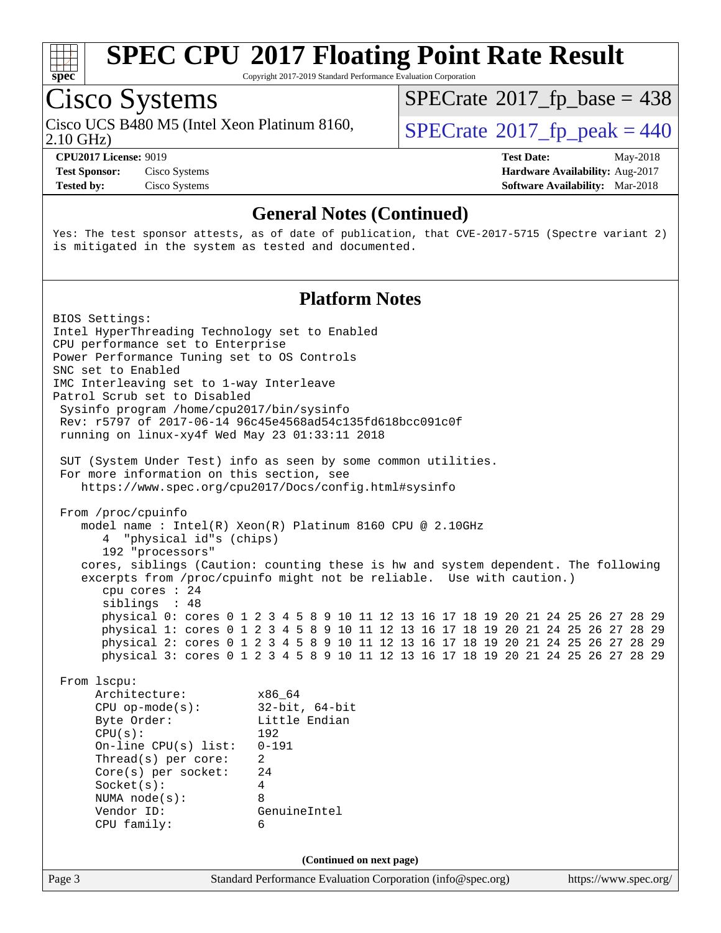

Copyright 2017-2019 Standard Performance Evaluation Corporation

## Cisco Systems

Cisco UCS B480 M5 (Intel Xeon Platinum 8160,<br>2.10 GHz)

 $SPECTate$ <sup>®</sup>[2017\\_fp\\_base =](http://www.spec.org/auto/cpu2017/Docs/result-fields.html#SPECrate2017fpbase) 438

 $SPECTate<sup>®</sup>2017_fp_peak = 440$  $SPECTate<sup>®</sup>2017_fp_peak = 440$  $SPECTate<sup>®</sup>2017_fp_peak = 440$ 

**[Tested by:](http://www.spec.org/auto/cpu2017/Docs/result-fields.html#Testedby)** Cisco Systems **[Software Availability:](http://www.spec.org/auto/cpu2017/Docs/result-fields.html#SoftwareAvailability)** Mar-2018

**[CPU2017 License:](http://www.spec.org/auto/cpu2017/Docs/result-fields.html#CPU2017License)** 9019 **[Test Date:](http://www.spec.org/auto/cpu2017/Docs/result-fields.html#TestDate)** May-2018 **[Test Sponsor:](http://www.spec.org/auto/cpu2017/Docs/result-fields.html#TestSponsor)** Cisco Systems **Cisco Systems [Hardware Availability:](http://www.spec.org/auto/cpu2017/Docs/result-fields.html#HardwareAvailability)** Aug-2017

### **[General Notes \(Continued\)](http://www.spec.org/auto/cpu2017/Docs/result-fields.html#GeneralNotes)**

Yes: The test sponsor attests, as of date of publication, that CVE-2017-5715 (Spectre variant 2) is mitigated in the system as tested and documented.

### **[Platform Notes](http://www.spec.org/auto/cpu2017/Docs/result-fields.html#PlatformNotes)**

Page 3 Standard Performance Evaluation Corporation [\(info@spec.org\)](mailto:info@spec.org) <https://www.spec.org/> BIOS Settings: Intel HyperThreading Technology set to Enabled CPU performance set to Enterprise Power Performance Tuning set to OS Controls SNC set to Enabled IMC Interleaving set to 1-way Interleave Patrol Scrub set to Disabled Sysinfo program /home/cpu2017/bin/sysinfo Rev: r5797 of 2017-06-14 96c45e4568ad54c135fd618bcc091c0f running on linux-xy4f Wed May 23 01:33:11 2018 SUT (System Under Test) info as seen by some common utilities. For more information on this section, see <https://www.spec.org/cpu2017/Docs/config.html#sysinfo> From /proc/cpuinfo model name : Intel(R) Xeon(R) Platinum 8160 CPU @ 2.10GHz 4 "physical id"s (chips) 192 "processors" cores, siblings (Caution: counting these is hw and system dependent. The following excerpts from /proc/cpuinfo might not be reliable. Use with caution.) cpu cores : 24 siblings : 48 physical 0: cores 0 1 2 3 4 5 8 9 10 11 12 13 16 17 18 19 20 21 24 25 26 27 28 29 physical 1: cores 0 1 2 3 4 5 8 9 10 11 12 13 16 17 18 19 20 21 24 25 26 27 28 29 physical 2: cores 0 1 2 3 4 5 8 9 10 11 12 13 16 17 18 19 20 21 24 25 26 27 28 29 physical 3: cores 0 1 2 3 4 5 8 9 10 11 12 13 16 17 18 19 20 21 24 25 26 27 28 29 From lscpu: Architecture: x86\_64 CPU op-mode(s): 32-bit, 64-bit Byte Order: Little Endian CPU(s): 192 On-line CPU(s) list: 0-191 Thread(s) per core: 2 Core(s) per socket: 24 Socket(s): 4 NUMA node(s): 8 Vendor ID: GenuineIntel CPU family: 6 **(Continued on next page)**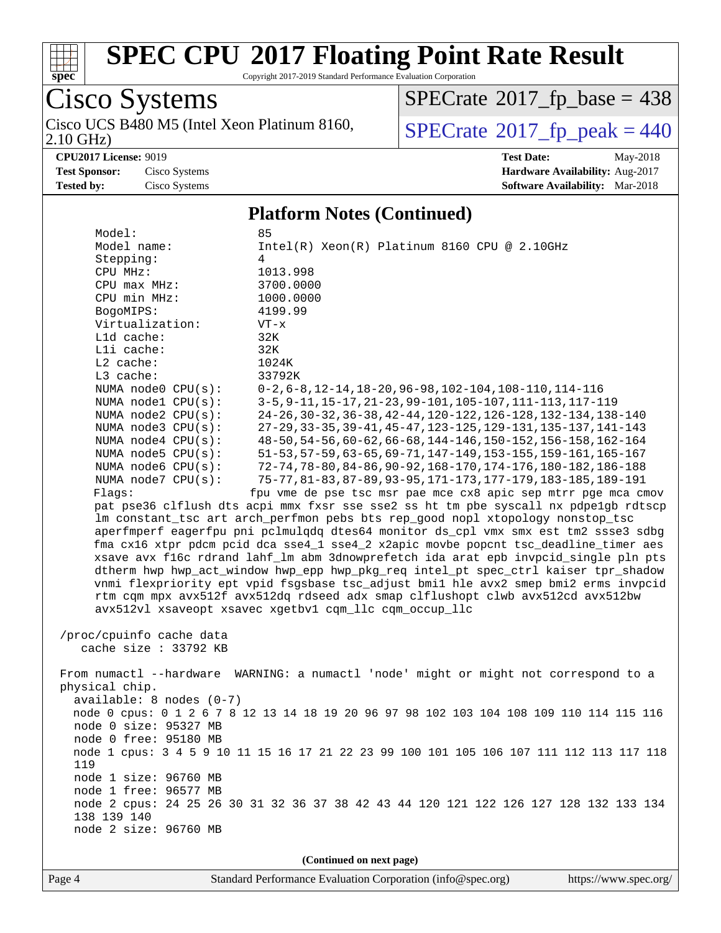

Copyright 2017-2019 Standard Performance Evaluation Corporation

Cisco Systems Cisco UCS B480 M5 (Intel Xeon Platinum 8160, 2.10 GHz)

 $SPECTate$ <sup>®</sup>[2017\\_fp\\_base =](http://www.spec.org/auto/cpu2017/Docs/result-fields.html#SPECrate2017fpbase) 438

 $SPECTate$ <sup>®</sup>[2017\\_fp\\_peak = 4](http://www.spec.org/auto/cpu2017/Docs/result-fields.html#SPECrate2017fppeak)40

**[CPU2017 License:](http://www.spec.org/auto/cpu2017/Docs/result-fields.html#CPU2017License)** 9019 **[Test Date:](http://www.spec.org/auto/cpu2017/Docs/result-fields.html#TestDate)** May-2018 **[Test Sponsor:](http://www.spec.org/auto/cpu2017/Docs/result-fields.html#TestSponsor)** Cisco Systems **Cisco Systems [Hardware Availability:](http://www.spec.org/auto/cpu2017/Docs/result-fields.html#HardwareAvailability)** Aug-2017 **[Tested by:](http://www.spec.org/auto/cpu2017/Docs/result-fields.html#Testedby)** Cisco Systems **[Software Availability:](http://www.spec.org/auto/cpu2017/Docs/result-fields.html#SoftwareAvailability)** Mar-2018

#### **[Platform Notes \(Continued\)](http://www.spec.org/auto/cpu2017/Docs/result-fields.html#PlatformNotes)**

Model: 85<br>Model name: 1 Intel(R) Xeon(R) Platinum 8160 CPU @ 2.10GHz Stepping: 4 CPU MHz: 1013.998 CPU max MHz: 3700.0000 CPU min MHz: 1000.0000 BogoMIPS: 4199.99 Virtualization: VT-x L1d cache: 32K L1i cache: 32K L2 cache: 1024K L3 cache: 33792K NUMA node0 CPU(s): 0-2,6-8,12-14,18-20,96-98,102-104,108-110,114-116 NUMA node1 CPU(s): 3-5,9-11,15-17,21-23,99-101,105-107,111-113,117-119 NUMA node2 CPU(s): 24-26,30-32,36-38,42-44,120-122,126-128,132-134,138-140 NUMA node3 CPU(s): 27-29,33-35,39-41,45-47,123-125,129-131,135-137,141-143 NUMA node4 CPU(s): 48-50,54-56,60-62,66-68,144-146,150-152,156-158,162-164 NUMA node5 CPU(s): 51-53,57-59,63-65,69-71,147-149,153-155,159-161,165-167 NUMA node6 CPU(s): 72-74,78-80,84-86,90-92,168-170,174-176,180-182,186-188 NUMA node7 CPU(s): 75-77,81-83,87-89,93-95,171-173,177-179,183-185,189-191 Flags: fpu vme de pse tsc msr pae mce cx8 apic sep mtrr pge mca cmov pat pse36 clflush dts acpi mmx fxsr sse sse2 ss ht tm pbe syscall nx pdpe1gb rdtscp lm constant\_tsc art arch\_perfmon pebs bts rep\_good nopl xtopology nonstop\_tsc aperfmperf eagerfpu pni pclmulqdq dtes64 monitor ds\_cpl vmx smx est tm2 ssse3 sdbg fma cx16 xtpr pdcm pcid dca sse4\_1 sse4\_2 x2apic movbe popcnt tsc\_deadline\_timer aes xsave avx f16c rdrand lahf\_lm abm 3dnowprefetch ida arat epb invpcid\_single pln pts dtherm hwp hwp\_act\_window hwp\_epp hwp\_pkg\_req intel\_pt spec\_ctrl kaiser tpr\_shadow vnmi flexpriority ept vpid fsgsbase tsc\_adjust bmi1 hle avx2 smep bmi2 erms invpcid rtm cqm mpx avx512f avx512dq rdseed adx smap clflushopt clwb avx512cd avx512bw avx512vl xsaveopt xsavec xgetbv1 cqm\_llc cqm\_occup\_llc /proc/cpuinfo cache data cache size : 33792 KB From numactl --hardware WARNING: a numactl 'node' might or might not correspond to a physical chip. available: 8 nodes (0-7) node 0 cpus: 0 1 2 6 7 8 12 13 14 18 19 20 96 97 98 102 103 104 108 109 110 114 115 116 node 0 size: 95327 MB node 0 free: 95180 MB node 1 cpus: 3 4 5 9 10 11 15 16 17 21 22 23 99 100 101 105 106 107 111 112 113 117 118 119 node 1 size: 96760 MB node 1 free: 96577 MB node 2 cpus: 24 25 26 30 31 32 36 37 38 42 43 44 120 121 122 126 127 128 132 133 134 138 139 140 node 2 size: 96760 MB **(Continued on next page)**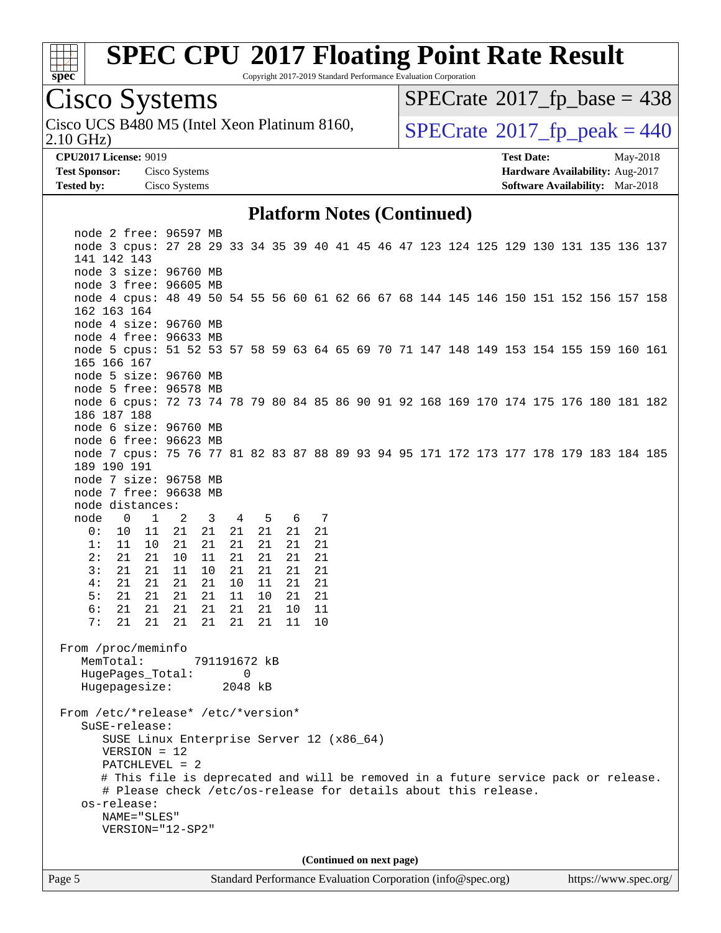

Copyright 2017-2019 Standard Performance Evaluation Corporation

## Cisco Systems

2.10 GHz) Cisco UCS B480 M5 (Intel Xeon Platinum 8160,  $\vert$  [SPECrate](http://www.spec.org/auto/cpu2017/Docs/result-fields.html#SPECrate2017fppeak)®[2017\\_fp\\_peak = 4](http://www.spec.org/auto/cpu2017/Docs/result-fields.html#SPECrate2017fppeak)40

 $SPECTate$ <sup>®</sup>[2017\\_fp\\_base =](http://www.spec.org/auto/cpu2017/Docs/result-fields.html#SPECrate2017fpbase) 438

**[Tested by:](http://www.spec.org/auto/cpu2017/Docs/result-fields.html#Testedby)** Cisco Systems **[Software Availability:](http://www.spec.org/auto/cpu2017/Docs/result-fields.html#SoftwareAvailability)** Mar-2018

**[CPU2017 License:](http://www.spec.org/auto/cpu2017/Docs/result-fields.html#CPU2017License)** 9019 **[Test Date:](http://www.spec.org/auto/cpu2017/Docs/result-fields.html#TestDate)** May-2018 **[Test Sponsor:](http://www.spec.org/auto/cpu2017/Docs/result-fields.html#TestSponsor)** Cisco Systems **[Hardware Availability:](http://www.spec.org/auto/cpu2017/Docs/result-fields.html#HardwareAvailability)** Aug-2017

### **[Platform Notes \(Continued\)](http://www.spec.org/auto/cpu2017/Docs/result-fields.html#PlatformNotes)**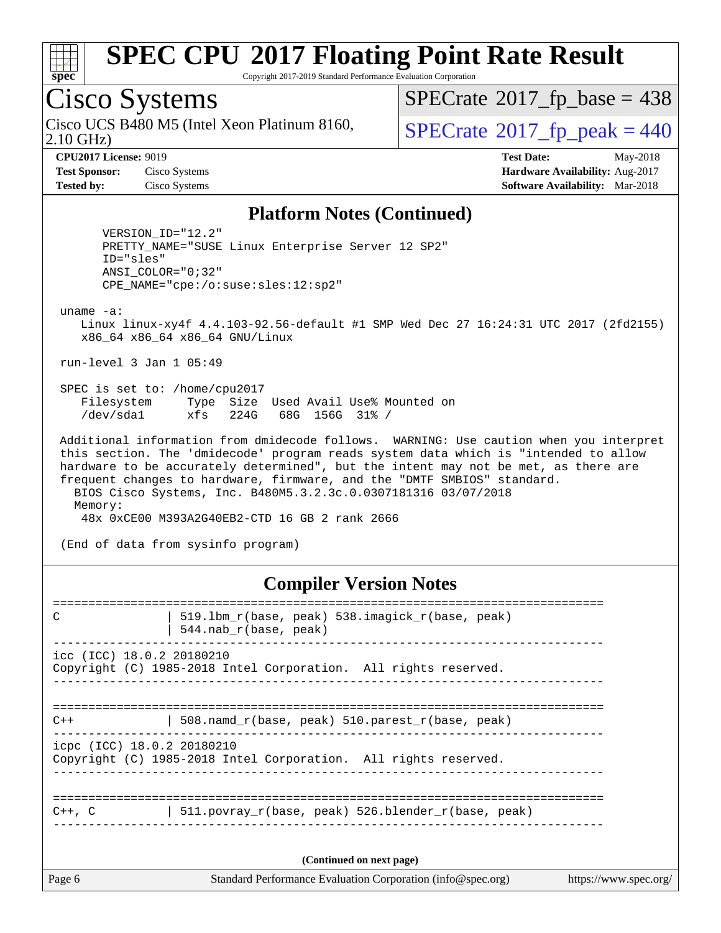

Copyright 2017-2019 Standard Performance Evaluation Corporation

## Cisco Systems

2.10 GHz) Cisco UCS B480 M5 (Intel Xeon Platinum 8160,  $\vert$  [SPECrate](http://www.spec.org/auto/cpu2017/Docs/result-fields.html#SPECrate2017fppeak)®[2017\\_fp\\_peak = 4](http://www.spec.org/auto/cpu2017/Docs/result-fields.html#SPECrate2017fppeak)40

 $SPECTate$ <sup>®</sup>[2017\\_fp\\_base =](http://www.spec.org/auto/cpu2017/Docs/result-fields.html#SPECrate2017fpbase) 438

**[CPU2017 License:](http://www.spec.org/auto/cpu2017/Docs/result-fields.html#CPU2017License)** 9019 **[Test Date:](http://www.spec.org/auto/cpu2017/Docs/result-fields.html#TestDate)** May-2018 **[Test Sponsor:](http://www.spec.org/auto/cpu2017/Docs/result-fields.html#TestSponsor)** Cisco Systems **[Hardware Availability:](http://www.spec.org/auto/cpu2017/Docs/result-fields.html#HardwareAvailability)** Aug-2017 **[Tested by:](http://www.spec.org/auto/cpu2017/Docs/result-fields.html#Testedby)** Cisco Systems **[Software Availability:](http://www.spec.org/auto/cpu2017/Docs/result-fields.html#SoftwareAvailability)** Mar-2018

#### **[Platform Notes \(Continued\)](http://www.spec.org/auto/cpu2017/Docs/result-fields.html#PlatformNotes)**

 VERSION\_ID="12.2" PRETTY\_NAME="SUSE Linux Enterprise Server 12 SP2" ID="sles" ANSI\_COLOR="0;32" CPE\_NAME="cpe:/o:suse:sles:12:sp2"

uname -a:

 Linux linux-xy4f 4.4.103-92.56-default #1 SMP Wed Dec 27 16:24:31 UTC 2017 (2fd2155) x86\_64 x86\_64 x86\_64 GNU/Linux

run-level 3 Jan 1 05:49

 SPEC is set to: /home/cpu2017 Filesystem Type Size Used Avail Use% Mounted on /dev/sda1 xfs 224G 68G 156G 31% /

 Additional information from dmidecode follows. WARNING: Use caution when you interpret this section. The 'dmidecode' program reads system data which is "intended to allow hardware to be accurately determined", but the intent may not be met, as there are frequent changes to hardware, firmware, and the "DMTF SMBIOS" standard. BIOS Cisco Systems, Inc. B480M5.3.2.3c.0.0307181316 03/07/2018 Memory:

48x 0xCE00 M393A2G40EB2-CTD 16 GB 2 rank 2666

(End of data from sysinfo program)

#### **[Compiler Version Notes](http://www.spec.org/auto/cpu2017/Docs/result-fields.html#CompilerVersionNotes)**

Page 6 Standard Performance Evaluation Corporation [\(info@spec.org\)](mailto:info@spec.org) <https://www.spec.org/> ============================================================================== C | 519.1bm\_r(base, peak) 538.imagick\_r(base, peak) | 544.nab\_r(base, peak) ----------------------------------------------------------------------------- icc (ICC) 18.0.2 20180210 Copyright (C) 1985-2018 Intel Corporation. All rights reserved. ------------------------------------------------------------------------------ ============================================================================== C++ | 508.namd\_r(base, peak) 510.parest\_r(base, peak) ----------------------------------------------------------------------------- icpc (ICC) 18.0.2 20180210 Copyright (C) 1985-2018 Intel Corporation. All rights reserved. ------------------------------------------------------------------------------ ============================================================================== C++, C | 511.povray\_r(base, peak) 526.blender\_r(base, peak) ------------------------------------------------------------------------------ **(Continued on next page)**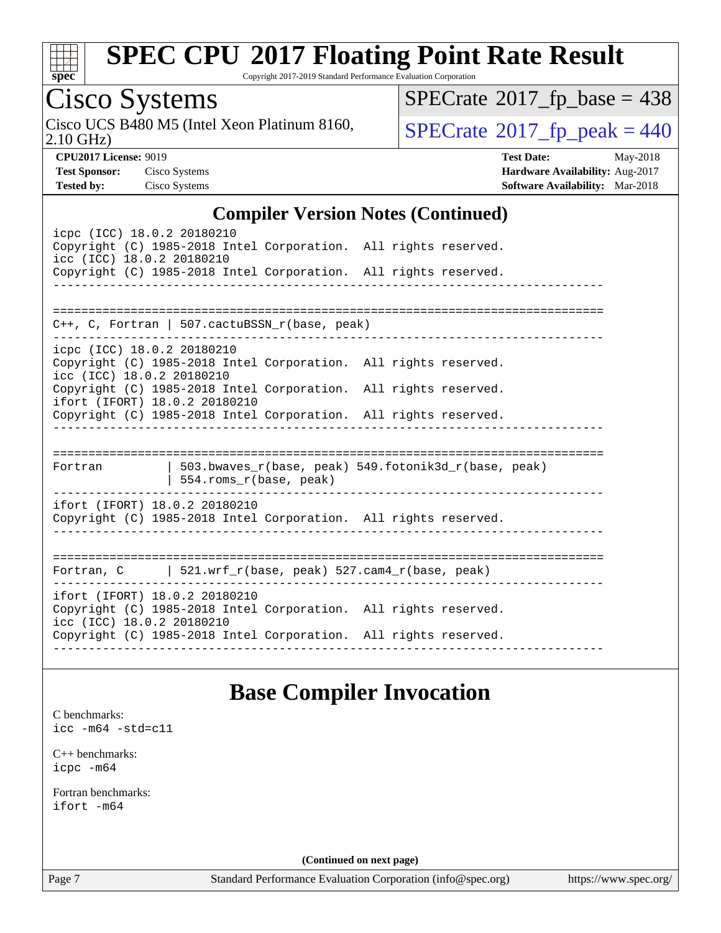

Copyright 2017-2019 Standard Performance Evaluation Corporation

# Cisco Systems

2.10 GHz) Cisco UCS B480 M5 (Intel Xeon Platinum 8160,  $\overline{SPECrate}$  $\overline{SPECrate}$  $\overline{SPECrate}$  2017 fp peak = 440

 $SPECTate$ <sup>®</sup>[2017\\_fp\\_base =](http://www.spec.org/auto/cpu2017/Docs/result-fields.html#SPECrate2017fpbase) 438

**[CPU2017 License:](http://www.spec.org/auto/cpu2017/Docs/result-fields.html#CPU2017License)** 9019 **[Test Date:](http://www.spec.org/auto/cpu2017/Docs/result-fields.html#TestDate)** May-2018 **[Test Sponsor:](http://www.spec.org/auto/cpu2017/Docs/result-fields.html#TestSponsor)** Cisco Systems **[Hardware Availability:](http://www.spec.org/auto/cpu2017/Docs/result-fields.html#HardwareAvailability)** Aug-2017 **[Tested by:](http://www.spec.org/auto/cpu2017/Docs/result-fields.html#Testedby)** Cisco Systems **[Software Availability:](http://www.spec.org/auto/cpu2017/Docs/result-fields.html#SoftwareAvailability)** Mar-2018

### **[Compiler Version Notes \(Continued\)](http://www.spec.org/auto/cpu2017/Docs/result-fields.html#CompilerVersionNotes)**

| icpc (ICC) 18.0.2 20180210<br>Copyright (C) 1985-2018 Intel Corporation. All rights reserved.<br>icc (ICC) 18.0.2 20180210<br>Copyright (C) 1985-2018 Intel Corporation. All rights reserved. |  |
|-----------------------------------------------------------------------------------------------------------------------------------------------------------------------------------------------|--|
|                                                                                                                                                                                               |  |
|                                                                                                                                                                                               |  |
| $C_{++}$ , C, Fortran   507.cactuBSSN_r(base, peak)                                                                                                                                           |  |
| icpc (ICC) 18.0.2 20180210                                                                                                                                                                    |  |
| Copyright (C) 1985-2018 Intel Corporation. All rights reserved.<br>icc (ICC) 18.0.2 20180210                                                                                                  |  |
| Copyright (C) 1985-2018 Intel Corporation. All rights reserved.<br>ifort (IFORT) 18.0.2 20180210                                                                                              |  |
| Copyright (C) 1985-2018 Intel Corporation. All rights reserved.                                                                                                                               |  |
|                                                                                                                                                                                               |  |
| ======================<br>$503.bwaves_r(base, peak)$ 549.fotonik3d_r(base, peak)<br>Fortran<br>554.roms_r(base, peak)                                                                         |  |
| ifort (IFORT) 18.0.2 20180210                                                                                                                                                                 |  |
| Copyright (C) 1985-2018 Intel Corporation. All rights reserved.                                                                                                                               |  |
|                                                                                                                                                                                               |  |
| ===============================                                                                                                                                                               |  |
| Fortran, $C$   521.wrf $r(base, peak)$ 527.cam4 $r(base, peak)$                                                                                                                               |  |
| ifort (IFORT) 18.0.2 20180210<br>Copyright (C) 1985-2018 Intel Corporation. All rights reserved.<br>icc (ICC) 18.0.2 20180210                                                                 |  |
| Copyright (C) 1985-2018 Intel Corporation. All rights reserved.                                                                                                                               |  |
|                                                                                                                                                                                               |  |

### **[Base Compiler Invocation](http://www.spec.org/auto/cpu2017/Docs/result-fields.html#BaseCompilerInvocation)**

[C benchmarks](http://www.spec.org/auto/cpu2017/Docs/result-fields.html#Cbenchmarks): [icc -m64 -std=c11](http://www.spec.org/cpu2017/results/res2018q2/cpu2017-20180528-06135.flags.html#user_CCbase_intel_icc_64bit_c11_33ee0cdaae7deeeab2a9725423ba97205ce30f63b9926c2519791662299b76a0318f32ddfffdc46587804de3178b4f9328c46fa7c2b0cd779d7a61945c91cd35)

[C++ benchmarks:](http://www.spec.org/auto/cpu2017/Docs/result-fields.html#CXXbenchmarks) [icpc -m64](http://www.spec.org/cpu2017/results/res2018q2/cpu2017-20180528-06135.flags.html#user_CXXbase_intel_icpc_64bit_4ecb2543ae3f1412ef961e0650ca070fec7b7afdcd6ed48761b84423119d1bf6bdf5cad15b44d48e7256388bc77273b966e5eb805aefd121eb22e9299b2ec9d9)

[Fortran benchmarks](http://www.spec.org/auto/cpu2017/Docs/result-fields.html#Fortranbenchmarks): [ifort -m64](http://www.spec.org/cpu2017/results/res2018q2/cpu2017-20180528-06135.flags.html#user_FCbase_intel_ifort_64bit_24f2bb282fbaeffd6157abe4f878425411749daecae9a33200eee2bee2fe76f3b89351d69a8130dd5949958ce389cf37ff59a95e7a40d588e8d3a57e0c3fd751)

**(Continued on next page)**

Page 7 Standard Performance Evaluation Corporation [\(info@spec.org\)](mailto:info@spec.org) <https://www.spec.org/>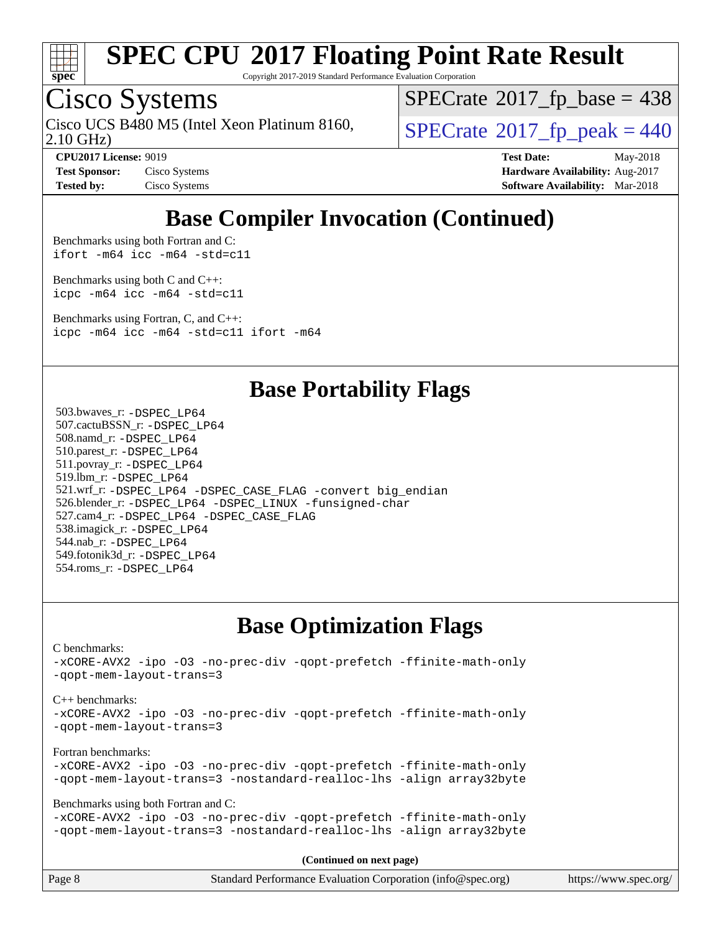

Copyright 2017-2019 Standard Performance Evaluation Corporation

### Cisco Systems

2.10 GHz) Cisco UCS B480 M5 (Intel Xeon Platinum 8160,  $\vert$  [SPECrate](http://www.spec.org/auto/cpu2017/Docs/result-fields.html#SPECrate2017fppeak)®[2017\\_fp\\_peak = 4](http://www.spec.org/auto/cpu2017/Docs/result-fields.html#SPECrate2017fppeak)40

 $SPECTate$ <sup>®</sup>[2017\\_fp\\_base =](http://www.spec.org/auto/cpu2017/Docs/result-fields.html#SPECrate2017fpbase) 438

**[Test Sponsor:](http://www.spec.org/auto/cpu2017/Docs/result-fields.html#TestSponsor)** Cisco Systems **Cisco Systems [Hardware Availability:](http://www.spec.org/auto/cpu2017/Docs/result-fields.html#HardwareAvailability)** Aug-2017

**[CPU2017 License:](http://www.spec.org/auto/cpu2017/Docs/result-fields.html#CPU2017License)** 9019 **[Test Date:](http://www.spec.org/auto/cpu2017/Docs/result-fields.html#TestDate)** May-2018 **[Tested by:](http://www.spec.org/auto/cpu2017/Docs/result-fields.html#Testedby)** Cisco Systems **[Software Availability:](http://www.spec.org/auto/cpu2017/Docs/result-fields.html#SoftwareAvailability)** Mar-2018

## **[Base Compiler Invocation \(Continued\)](http://www.spec.org/auto/cpu2017/Docs/result-fields.html#BaseCompilerInvocation)**

[Benchmarks using both Fortran and C](http://www.spec.org/auto/cpu2017/Docs/result-fields.html#BenchmarksusingbothFortranandC): [ifort -m64](http://www.spec.org/cpu2017/results/res2018q2/cpu2017-20180528-06135.flags.html#user_CC_FCbase_intel_ifort_64bit_24f2bb282fbaeffd6157abe4f878425411749daecae9a33200eee2bee2fe76f3b89351d69a8130dd5949958ce389cf37ff59a95e7a40d588e8d3a57e0c3fd751) [icc -m64 -std=c11](http://www.spec.org/cpu2017/results/res2018q2/cpu2017-20180528-06135.flags.html#user_CC_FCbase_intel_icc_64bit_c11_33ee0cdaae7deeeab2a9725423ba97205ce30f63b9926c2519791662299b76a0318f32ddfffdc46587804de3178b4f9328c46fa7c2b0cd779d7a61945c91cd35)

[Benchmarks using both C and C++](http://www.spec.org/auto/cpu2017/Docs/result-fields.html#BenchmarksusingbothCandCXX): [icpc -m64](http://www.spec.org/cpu2017/results/res2018q2/cpu2017-20180528-06135.flags.html#user_CC_CXXbase_intel_icpc_64bit_4ecb2543ae3f1412ef961e0650ca070fec7b7afdcd6ed48761b84423119d1bf6bdf5cad15b44d48e7256388bc77273b966e5eb805aefd121eb22e9299b2ec9d9) [icc -m64 -std=c11](http://www.spec.org/cpu2017/results/res2018q2/cpu2017-20180528-06135.flags.html#user_CC_CXXbase_intel_icc_64bit_c11_33ee0cdaae7deeeab2a9725423ba97205ce30f63b9926c2519791662299b76a0318f32ddfffdc46587804de3178b4f9328c46fa7c2b0cd779d7a61945c91cd35)

[Benchmarks using Fortran, C, and C++:](http://www.spec.org/auto/cpu2017/Docs/result-fields.html#BenchmarksusingFortranCandCXX) [icpc -m64](http://www.spec.org/cpu2017/results/res2018q2/cpu2017-20180528-06135.flags.html#user_CC_CXX_FCbase_intel_icpc_64bit_4ecb2543ae3f1412ef961e0650ca070fec7b7afdcd6ed48761b84423119d1bf6bdf5cad15b44d48e7256388bc77273b966e5eb805aefd121eb22e9299b2ec9d9) [icc -m64 -std=c11](http://www.spec.org/cpu2017/results/res2018q2/cpu2017-20180528-06135.flags.html#user_CC_CXX_FCbase_intel_icc_64bit_c11_33ee0cdaae7deeeab2a9725423ba97205ce30f63b9926c2519791662299b76a0318f32ddfffdc46587804de3178b4f9328c46fa7c2b0cd779d7a61945c91cd35) [ifort -m64](http://www.spec.org/cpu2017/results/res2018q2/cpu2017-20180528-06135.flags.html#user_CC_CXX_FCbase_intel_ifort_64bit_24f2bb282fbaeffd6157abe4f878425411749daecae9a33200eee2bee2fe76f3b89351d69a8130dd5949958ce389cf37ff59a95e7a40d588e8d3a57e0c3fd751)

### **[Base Portability Flags](http://www.spec.org/auto/cpu2017/Docs/result-fields.html#BasePortabilityFlags)**

 503.bwaves\_r: [-DSPEC\\_LP64](http://www.spec.org/cpu2017/results/res2018q2/cpu2017-20180528-06135.flags.html#suite_basePORTABILITY503_bwaves_r_DSPEC_LP64) 507.cactuBSSN\_r: [-DSPEC\\_LP64](http://www.spec.org/cpu2017/results/res2018q2/cpu2017-20180528-06135.flags.html#suite_basePORTABILITY507_cactuBSSN_r_DSPEC_LP64) 508.namd\_r: [-DSPEC\\_LP64](http://www.spec.org/cpu2017/results/res2018q2/cpu2017-20180528-06135.flags.html#suite_basePORTABILITY508_namd_r_DSPEC_LP64) 510.parest\_r: [-DSPEC\\_LP64](http://www.spec.org/cpu2017/results/res2018q2/cpu2017-20180528-06135.flags.html#suite_basePORTABILITY510_parest_r_DSPEC_LP64) 511.povray\_r: [-DSPEC\\_LP64](http://www.spec.org/cpu2017/results/res2018q2/cpu2017-20180528-06135.flags.html#suite_basePORTABILITY511_povray_r_DSPEC_LP64) 519.lbm\_r: [-DSPEC\\_LP64](http://www.spec.org/cpu2017/results/res2018q2/cpu2017-20180528-06135.flags.html#suite_basePORTABILITY519_lbm_r_DSPEC_LP64) 521.wrf\_r: [-DSPEC\\_LP64](http://www.spec.org/cpu2017/results/res2018q2/cpu2017-20180528-06135.flags.html#suite_basePORTABILITY521_wrf_r_DSPEC_LP64) [-DSPEC\\_CASE\\_FLAG](http://www.spec.org/cpu2017/results/res2018q2/cpu2017-20180528-06135.flags.html#b521.wrf_r_baseCPORTABILITY_DSPEC_CASE_FLAG) [-convert big\\_endian](http://www.spec.org/cpu2017/results/res2018q2/cpu2017-20180528-06135.flags.html#user_baseFPORTABILITY521_wrf_r_convert_big_endian_c3194028bc08c63ac5d04de18c48ce6d347e4e562e8892b8bdbdc0214820426deb8554edfa529a3fb25a586e65a3d812c835984020483e7e73212c4d31a38223) 526.blender\_r: [-DSPEC\\_LP64](http://www.spec.org/cpu2017/results/res2018q2/cpu2017-20180528-06135.flags.html#suite_basePORTABILITY526_blender_r_DSPEC_LP64) [-DSPEC\\_LINUX](http://www.spec.org/cpu2017/results/res2018q2/cpu2017-20180528-06135.flags.html#b526.blender_r_baseCPORTABILITY_DSPEC_LINUX) [-funsigned-char](http://www.spec.org/cpu2017/results/res2018q2/cpu2017-20180528-06135.flags.html#user_baseCPORTABILITY526_blender_r_force_uchar_40c60f00ab013830e2dd6774aeded3ff59883ba5a1fc5fc14077f794d777847726e2a5858cbc7672e36e1b067e7e5c1d9a74f7176df07886a243d7cc18edfe67) 527.cam4\_r: [-DSPEC\\_LP64](http://www.spec.org/cpu2017/results/res2018q2/cpu2017-20180528-06135.flags.html#suite_basePORTABILITY527_cam4_r_DSPEC_LP64) [-DSPEC\\_CASE\\_FLAG](http://www.spec.org/cpu2017/results/res2018q2/cpu2017-20180528-06135.flags.html#b527.cam4_r_baseCPORTABILITY_DSPEC_CASE_FLAG) 538.imagick\_r: [-DSPEC\\_LP64](http://www.spec.org/cpu2017/results/res2018q2/cpu2017-20180528-06135.flags.html#suite_basePORTABILITY538_imagick_r_DSPEC_LP64) 544.nab\_r: [-DSPEC\\_LP64](http://www.spec.org/cpu2017/results/res2018q2/cpu2017-20180528-06135.flags.html#suite_basePORTABILITY544_nab_r_DSPEC_LP64) 549.fotonik3d\_r: [-DSPEC\\_LP64](http://www.spec.org/cpu2017/results/res2018q2/cpu2017-20180528-06135.flags.html#suite_basePORTABILITY549_fotonik3d_r_DSPEC_LP64) 554.roms\_r: [-DSPEC\\_LP64](http://www.spec.org/cpu2017/results/res2018q2/cpu2017-20180528-06135.flags.html#suite_basePORTABILITY554_roms_r_DSPEC_LP64)

### **[Base Optimization Flags](http://www.spec.org/auto/cpu2017/Docs/result-fields.html#BaseOptimizationFlags)**

[C benchmarks](http://www.spec.org/auto/cpu2017/Docs/result-fields.html#Cbenchmarks): [-xCORE-AVX2](http://www.spec.org/cpu2017/results/res2018q2/cpu2017-20180528-06135.flags.html#user_CCbase_f-xCORE-AVX2) [-ipo](http://www.spec.org/cpu2017/results/res2018q2/cpu2017-20180528-06135.flags.html#user_CCbase_f-ipo) [-O3](http://www.spec.org/cpu2017/results/res2018q2/cpu2017-20180528-06135.flags.html#user_CCbase_f-O3) [-no-prec-div](http://www.spec.org/cpu2017/results/res2018q2/cpu2017-20180528-06135.flags.html#user_CCbase_f-no-prec-div) [-qopt-prefetch](http://www.spec.org/cpu2017/results/res2018q2/cpu2017-20180528-06135.flags.html#user_CCbase_f-qopt-prefetch) [-ffinite-math-only](http://www.spec.org/cpu2017/results/res2018q2/cpu2017-20180528-06135.flags.html#user_CCbase_f_finite_math_only_cb91587bd2077682c4b38af759c288ed7c732db004271a9512da14a4f8007909a5f1427ecbf1a0fb78ff2a814402c6114ac565ca162485bbcae155b5e4258871) [-qopt-mem-layout-trans=3](http://www.spec.org/cpu2017/results/res2018q2/cpu2017-20180528-06135.flags.html#user_CCbase_f-qopt-mem-layout-trans_de80db37974c74b1f0e20d883f0b675c88c3b01e9d123adea9b28688d64333345fb62bc4a798493513fdb68f60282f9a726aa07f478b2f7113531aecce732043) [C++ benchmarks:](http://www.spec.org/auto/cpu2017/Docs/result-fields.html#CXXbenchmarks) [-xCORE-AVX2](http://www.spec.org/cpu2017/results/res2018q2/cpu2017-20180528-06135.flags.html#user_CXXbase_f-xCORE-AVX2) [-ipo](http://www.spec.org/cpu2017/results/res2018q2/cpu2017-20180528-06135.flags.html#user_CXXbase_f-ipo) [-O3](http://www.spec.org/cpu2017/results/res2018q2/cpu2017-20180528-06135.flags.html#user_CXXbase_f-O3) [-no-prec-div](http://www.spec.org/cpu2017/results/res2018q2/cpu2017-20180528-06135.flags.html#user_CXXbase_f-no-prec-div) [-qopt-prefetch](http://www.spec.org/cpu2017/results/res2018q2/cpu2017-20180528-06135.flags.html#user_CXXbase_f-qopt-prefetch) [-ffinite-math-only](http://www.spec.org/cpu2017/results/res2018q2/cpu2017-20180528-06135.flags.html#user_CXXbase_f_finite_math_only_cb91587bd2077682c4b38af759c288ed7c732db004271a9512da14a4f8007909a5f1427ecbf1a0fb78ff2a814402c6114ac565ca162485bbcae155b5e4258871) [-qopt-mem-layout-trans=3](http://www.spec.org/cpu2017/results/res2018q2/cpu2017-20180528-06135.flags.html#user_CXXbase_f-qopt-mem-layout-trans_de80db37974c74b1f0e20d883f0b675c88c3b01e9d123adea9b28688d64333345fb62bc4a798493513fdb68f60282f9a726aa07f478b2f7113531aecce732043) [Fortran benchmarks](http://www.spec.org/auto/cpu2017/Docs/result-fields.html#Fortranbenchmarks): [-xCORE-AVX2](http://www.spec.org/cpu2017/results/res2018q2/cpu2017-20180528-06135.flags.html#user_FCbase_f-xCORE-AVX2) [-ipo](http://www.spec.org/cpu2017/results/res2018q2/cpu2017-20180528-06135.flags.html#user_FCbase_f-ipo) [-O3](http://www.spec.org/cpu2017/results/res2018q2/cpu2017-20180528-06135.flags.html#user_FCbase_f-O3) [-no-prec-div](http://www.spec.org/cpu2017/results/res2018q2/cpu2017-20180528-06135.flags.html#user_FCbase_f-no-prec-div) [-qopt-prefetch](http://www.spec.org/cpu2017/results/res2018q2/cpu2017-20180528-06135.flags.html#user_FCbase_f-qopt-prefetch) [-ffinite-math-only](http://www.spec.org/cpu2017/results/res2018q2/cpu2017-20180528-06135.flags.html#user_FCbase_f_finite_math_only_cb91587bd2077682c4b38af759c288ed7c732db004271a9512da14a4f8007909a5f1427ecbf1a0fb78ff2a814402c6114ac565ca162485bbcae155b5e4258871) [-qopt-mem-layout-trans=3](http://www.spec.org/cpu2017/results/res2018q2/cpu2017-20180528-06135.flags.html#user_FCbase_f-qopt-mem-layout-trans_de80db37974c74b1f0e20d883f0b675c88c3b01e9d123adea9b28688d64333345fb62bc4a798493513fdb68f60282f9a726aa07f478b2f7113531aecce732043) [-nostandard-realloc-lhs](http://www.spec.org/cpu2017/results/res2018q2/cpu2017-20180528-06135.flags.html#user_FCbase_f_2003_std_realloc_82b4557e90729c0f113870c07e44d33d6f5a304b4f63d4c15d2d0f1fab99f5daaed73bdb9275d9ae411527f28b936061aa8b9c8f2d63842963b95c9dd6426b8a) [-align array32byte](http://www.spec.org/cpu2017/results/res2018q2/cpu2017-20180528-06135.flags.html#user_FCbase_align_array32byte_b982fe038af199962ba9a80c053b8342c548c85b40b8e86eb3cc33dee0d7986a4af373ac2d51c3f7cf710a18d62fdce2948f201cd044323541f22fc0fffc51b6) [Benchmarks using both Fortran and C](http://www.spec.org/auto/cpu2017/Docs/result-fields.html#BenchmarksusingbothFortranandC): [-xCORE-AVX2](http://www.spec.org/cpu2017/results/res2018q2/cpu2017-20180528-06135.flags.html#user_CC_FCbase_f-xCORE-AVX2) [-ipo](http://www.spec.org/cpu2017/results/res2018q2/cpu2017-20180528-06135.flags.html#user_CC_FCbase_f-ipo) [-O3](http://www.spec.org/cpu2017/results/res2018q2/cpu2017-20180528-06135.flags.html#user_CC_FCbase_f-O3) [-no-prec-div](http://www.spec.org/cpu2017/results/res2018q2/cpu2017-20180528-06135.flags.html#user_CC_FCbase_f-no-prec-div) [-qopt-prefetch](http://www.spec.org/cpu2017/results/res2018q2/cpu2017-20180528-06135.flags.html#user_CC_FCbase_f-qopt-prefetch) [-ffinite-math-only](http://www.spec.org/cpu2017/results/res2018q2/cpu2017-20180528-06135.flags.html#user_CC_FCbase_f_finite_math_only_cb91587bd2077682c4b38af759c288ed7c732db004271a9512da14a4f8007909a5f1427ecbf1a0fb78ff2a814402c6114ac565ca162485bbcae155b5e4258871) [-qopt-mem-layout-trans=3](http://www.spec.org/cpu2017/results/res2018q2/cpu2017-20180528-06135.flags.html#user_CC_FCbase_f-qopt-mem-layout-trans_de80db37974c74b1f0e20d883f0b675c88c3b01e9d123adea9b28688d64333345fb62bc4a798493513fdb68f60282f9a726aa07f478b2f7113531aecce732043) [-nostandard-realloc-lhs](http://www.spec.org/cpu2017/results/res2018q2/cpu2017-20180528-06135.flags.html#user_CC_FCbase_f_2003_std_realloc_82b4557e90729c0f113870c07e44d33d6f5a304b4f63d4c15d2d0f1fab99f5daaed73bdb9275d9ae411527f28b936061aa8b9c8f2d63842963b95c9dd6426b8a) [-align array32byte](http://www.spec.org/cpu2017/results/res2018q2/cpu2017-20180528-06135.flags.html#user_CC_FCbase_align_array32byte_b982fe038af199962ba9a80c053b8342c548c85b40b8e86eb3cc33dee0d7986a4af373ac2d51c3f7cf710a18d62fdce2948f201cd044323541f22fc0fffc51b6)

Page 8 Standard Performance Evaluation Corporation [\(info@spec.org\)](mailto:info@spec.org) <https://www.spec.org/> **(Continued on next page)**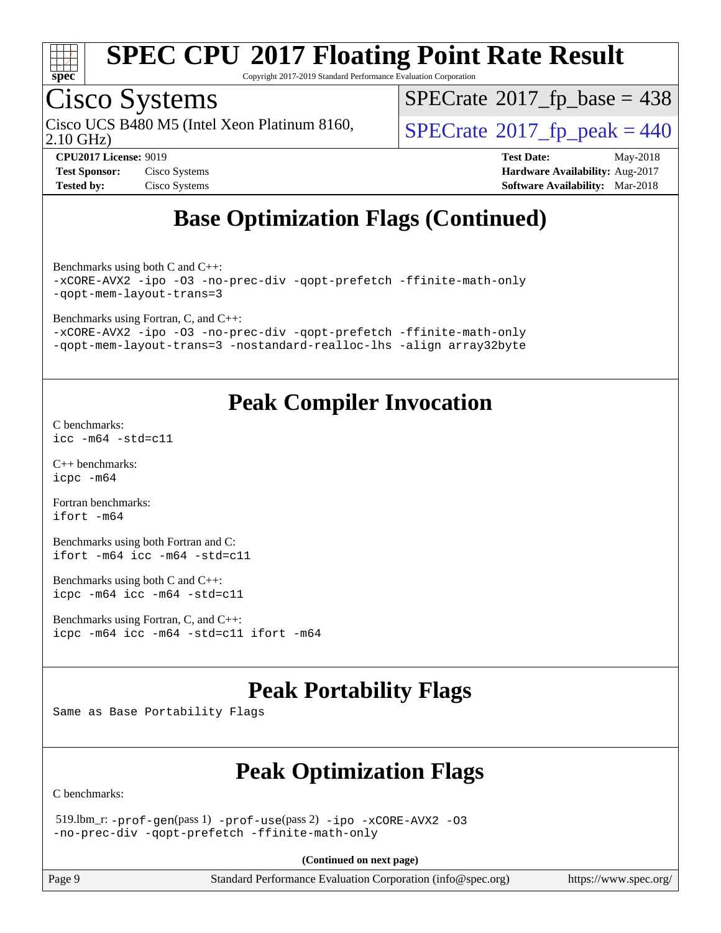

Copyright 2017-2019 Standard Performance Evaluation Corporation

## Cisco Systems

2.10 GHz) Cisco UCS B480 M5 (Intel Xeon Platinum 8160,  $\vert$  [SPECrate](http://www.spec.org/auto/cpu2017/Docs/result-fields.html#SPECrate2017fppeak)®[2017\\_fp\\_peak = 4](http://www.spec.org/auto/cpu2017/Docs/result-fields.html#SPECrate2017fppeak)40

 $SPECTate$ <sup>®</sup>[2017\\_fp\\_base =](http://www.spec.org/auto/cpu2017/Docs/result-fields.html#SPECrate2017fpbase) 438

| <b>Test Sponsor:</b> | Cisco Systems |
|----------------------|---------------|
| <b>Tested by:</b>    | Cisco Systems |

**[CPU2017 License:](http://www.spec.org/auto/cpu2017/Docs/result-fields.html#CPU2017License)** 9019 **[Test Date:](http://www.spec.org/auto/cpu2017/Docs/result-fields.html#TestDate)** May-2018 **[Hardware Availability:](http://www.spec.org/auto/cpu2017/Docs/result-fields.html#HardwareAvailability)** Aug-2017 **[Software Availability:](http://www.spec.org/auto/cpu2017/Docs/result-fields.html#SoftwareAvailability)** Mar-2018

## **[Base Optimization Flags \(Continued\)](http://www.spec.org/auto/cpu2017/Docs/result-fields.html#BaseOptimizationFlags)**

[Benchmarks using both C and C++](http://www.spec.org/auto/cpu2017/Docs/result-fields.html#BenchmarksusingbothCandCXX): [-xCORE-AVX2](http://www.spec.org/cpu2017/results/res2018q2/cpu2017-20180528-06135.flags.html#user_CC_CXXbase_f-xCORE-AVX2) [-ipo](http://www.spec.org/cpu2017/results/res2018q2/cpu2017-20180528-06135.flags.html#user_CC_CXXbase_f-ipo) [-O3](http://www.spec.org/cpu2017/results/res2018q2/cpu2017-20180528-06135.flags.html#user_CC_CXXbase_f-O3) [-no-prec-div](http://www.spec.org/cpu2017/results/res2018q2/cpu2017-20180528-06135.flags.html#user_CC_CXXbase_f-no-prec-div) [-qopt-prefetch](http://www.spec.org/cpu2017/results/res2018q2/cpu2017-20180528-06135.flags.html#user_CC_CXXbase_f-qopt-prefetch) [-ffinite-math-only](http://www.spec.org/cpu2017/results/res2018q2/cpu2017-20180528-06135.flags.html#user_CC_CXXbase_f_finite_math_only_cb91587bd2077682c4b38af759c288ed7c732db004271a9512da14a4f8007909a5f1427ecbf1a0fb78ff2a814402c6114ac565ca162485bbcae155b5e4258871) [-qopt-mem-layout-trans=3](http://www.spec.org/cpu2017/results/res2018q2/cpu2017-20180528-06135.flags.html#user_CC_CXXbase_f-qopt-mem-layout-trans_de80db37974c74b1f0e20d883f0b675c88c3b01e9d123adea9b28688d64333345fb62bc4a798493513fdb68f60282f9a726aa07f478b2f7113531aecce732043)

[Benchmarks using Fortran, C, and C++:](http://www.spec.org/auto/cpu2017/Docs/result-fields.html#BenchmarksusingFortranCandCXX)

[-xCORE-AVX2](http://www.spec.org/cpu2017/results/res2018q2/cpu2017-20180528-06135.flags.html#user_CC_CXX_FCbase_f-xCORE-AVX2) [-ipo](http://www.spec.org/cpu2017/results/res2018q2/cpu2017-20180528-06135.flags.html#user_CC_CXX_FCbase_f-ipo) [-O3](http://www.spec.org/cpu2017/results/res2018q2/cpu2017-20180528-06135.flags.html#user_CC_CXX_FCbase_f-O3) [-no-prec-div](http://www.spec.org/cpu2017/results/res2018q2/cpu2017-20180528-06135.flags.html#user_CC_CXX_FCbase_f-no-prec-div) [-qopt-prefetch](http://www.spec.org/cpu2017/results/res2018q2/cpu2017-20180528-06135.flags.html#user_CC_CXX_FCbase_f-qopt-prefetch) [-ffinite-math-only](http://www.spec.org/cpu2017/results/res2018q2/cpu2017-20180528-06135.flags.html#user_CC_CXX_FCbase_f_finite_math_only_cb91587bd2077682c4b38af759c288ed7c732db004271a9512da14a4f8007909a5f1427ecbf1a0fb78ff2a814402c6114ac565ca162485bbcae155b5e4258871) [-qopt-mem-layout-trans=3](http://www.spec.org/cpu2017/results/res2018q2/cpu2017-20180528-06135.flags.html#user_CC_CXX_FCbase_f-qopt-mem-layout-trans_de80db37974c74b1f0e20d883f0b675c88c3b01e9d123adea9b28688d64333345fb62bc4a798493513fdb68f60282f9a726aa07f478b2f7113531aecce732043) [-nostandard-realloc-lhs](http://www.spec.org/cpu2017/results/res2018q2/cpu2017-20180528-06135.flags.html#user_CC_CXX_FCbase_f_2003_std_realloc_82b4557e90729c0f113870c07e44d33d6f5a304b4f63d4c15d2d0f1fab99f5daaed73bdb9275d9ae411527f28b936061aa8b9c8f2d63842963b95c9dd6426b8a) [-align array32byte](http://www.spec.org/cpu2017/results/res2018q2/cpu2017-20180528-06135.flags.html#user_CC_CXX_FCbase_align_array32byte_b982fe038af199962ba9a80c053b8342c548c85b40b8e86eb3cc33dee0d7986a4af373ac2d51c3f7cf710a18d62fdce2948f201cd044323541f22fc0fffc51b6)

## **[Peak Compiler Invocation](http://www.spec.org/auto/cpu2017/Docs/result-fields.html#PeakCompilerInvocation)**

[C benchmarks](http://www.spec.org/auto/cpu2017/Docs/result-fields.html#Cbenchmarks): [icc -m64 -std=c11](http://www.spec.org/cpu2017/results/res2018q2/cpu2017-20180528-06135.flags.html#user_CCpeak_intel_icc_64bit_c11_33ee0cdaae7deeeab2a9725423ba97205ce30f63b9926c2519791662299b76a0318f32ddfffdc46587804de3178b4f9328c46fa7c2b0cd779d7a61945c91cd35)

[C++ benchmarks:](http://www.spec.org/auto/cpu2017/Docs/result-fields.html#CXXbenchmarks) [icpc -m64](http://www.spec.org/cpu2017/results/res2018q2/cpu2017-20180528-06135.flags.html#user_CXXpeak_intel_icpc_64bit_4ecb2543ae3f1412ef961e0650ca070fec7b7afdcd6ed48761b84423119d1bf6bdf5cad15b44d48e7256388bc77273b966e5eb805aefd121eb22e9299b2ec9d9)

[Fortran benchmarks](http://www.spec.org/auto/cpu2017/Docs/result-fields.html#Fortranbenchmarks): [ifort -m64](http://www.spec.org/cpu2017/results/res2018q2/cpu2017-20180528-06135.flags.html#user_FCpeak_intel_ifort_64bit_24f2bb282fbaeffd6157abe4f878425411749daecae9a33200eee2bee2fe76f3b89351d69a8130dd5949958ce389cf37ff59a95e7a40d588e8d3a57e0c3fd751)

[Benchmarks using both Fortran and C](http://www.spec.org/auto/cpu2017/Docs/result-fields.html#BenchmarksusingbothFortranandC): [ifort -m64](http://www.spec.org/cpu2017/results/res2018q2/cpu2017-20180528-06135.flags.html#user_CC_FCpeak_intel_ifort_64bit_24f2bb282fbaeffd6157abe4f878425411749daecae9a33200eee2bee2fe76f3b89351d69a8130dd5949958ce389cf37ff59a95e7a40d588e8d3a57e0c3fd751) [icc -m64 -std=c11](http://www.spec.org/cpu2017/results/res2018q2/cpu2017-20180528-06135.flags.html#user_CC_FCpeak_intel_icc_64bit_c11_33ee0cdaae7deeeab2a9725423ba97205ce30f63b9926c2519791662299b76a0318f32ddfffdc46587804de3178b4f9328c46fa7c2b0cd779d7a61945c91cd35)

[Benchmarks using both C and C++](http://www.spec.org/auto/cpu2017/Docs/result-fields.html#BenchmarksusingbothCandCXX): [icpc -m64](http://www.spec.org/cpu2017/results/res2018q2/cpu2017-20180528-06135.flags.html#user_CC_CXXpeak_intel_icpc_64bit_4ecb2543ae3f1412ef961e0650ca070fec7b7afdcd6ed48761b84423119d1bf6bdf5cad15b44d48e7256388bc77273b966e5eb805aefd121eb22e9299b2ec9d9) [icc -m64 -std=c11](http://www.spec.org/cpu2017/results/res2018q2/cpu2017-20180528-06135.flags.html#user_CC_CXXpeak_intel_icc_64bit_c11_33ee0cdaae7deeeab2a9725423ba97205ce30f63b9926c2519791662299b76a0318f32ddfffdc46587804de3178b4f9328c46fa7c2b0cd779d7a61945c91cd35)

```
Benchmarks using Fortran, C, and C++: 
icpc -m64 icc -m64 -std=c11 ifort -m64
```
## **[Peak Portability Flags](http://www.spec.org/auto/cpu2017/Docs/result-fields.html#PeakPortabilityFlags)**

Same as Base Portability Flags

## **[Peak Optimization Flags](http://www.spec.org/auto/cpu2017/Docs/result-fields.html#PeakOptimizationFlags)**

[C benchmarks](http://www.spec.org/auto/cpu2017/Docs/result-fields.html#Cbenchmarks):

 519.lbm\_r: [-prof-gen](http://www.spec.org/cpu2017/results/res2018q2/cpu2017-20180528-06135.flags.html#user_peakPASS1_CFLAGSPASS1_LDFLAGS519_lbm_r_prof_gen_5aa4926d6013ddb2a31985c654b3eb18169fc0c6952a63635c234f711e6e63dd76e94ad52365559451ec499a2cdb89e4dc58ba4c67ef54ca681ffbe1461d6b36)(pass 1) [-prof-use](http://www.spec.org/cpu2017/results/res2018q2/cpu2017-20180528-06135.flags.html#user_peakPASS2_CFLAGSPASS2_LDFLAGS519_lbm_r_prof_use_1a21ceae95f36a2b53c25747139a6c16ca95bd9def2a207b4f0849963b97e94f5260e30a0c64f4bb623698870e679ca08317ef8150905d41bd88c6f78df73f19)(pass 2) [-ipo](http://www.spec.org/cpu2017/results/res2018q2/cpu2017-20180528-06135.flags.html#user_peakPASS1_COPTIMIZEPASS2_COPTIMIZE519_lbm_r_f-ipo) [-xCORE-AVX2](http://www.spec.org/cpu2017/results/res2018q2/cpu2017-20180528-06135.flags.html#user_peakPASS2_COPTIMIZE519_lbm_r_f-xCORE-AVX2) [-O3](http://www.spec.org/cpu2017/results/res2018q2/cpu2017-20180528-06135.flags.html#user_peakPASS1_COPTIMIZEPASS2_COPTIMIZE519_lbm_r_f-O3) [-no-prec-div](http://www.spec.org/cpu2017/results/res2018q2/cpu2017-20180528-06135.flags.html#user_peakPASS1_COPTIMIZEPASS2_COPTIMIZE519_lbm_r_f-no-prec-div) [-qopt-prefetch](http://www.spec.org/cpu2017/results/res2018q2/cpu2017-20180528-06135.flags.html#user_peakPASS1_COPTIMIZEPASS2_COPTIMIZE519_lbm_r_f-qopt-prefetch) [-ffinite-math-only](http://www.spec.org/cpu2017/results/res2018q2/cpu2017-20180528-06135.flags.html#user_peakPASS1_COPTIMIZEPASS2_COPTIMIZE519_lbm_r_f_finite_math_only_cb91587bd2077682c4b38af759c288ed7c732db004271a9512da14a4f8007909a5f1427ecbf1a0fb78ff2a814402c6114ac565ca162485bbcae155b5e4258871)

**(Continued on next page)**

Page 9 Standard Performance Evaluation Corporation [\(info@spec.org\)](mailto:info@spec.org) <https://www.spec.org/>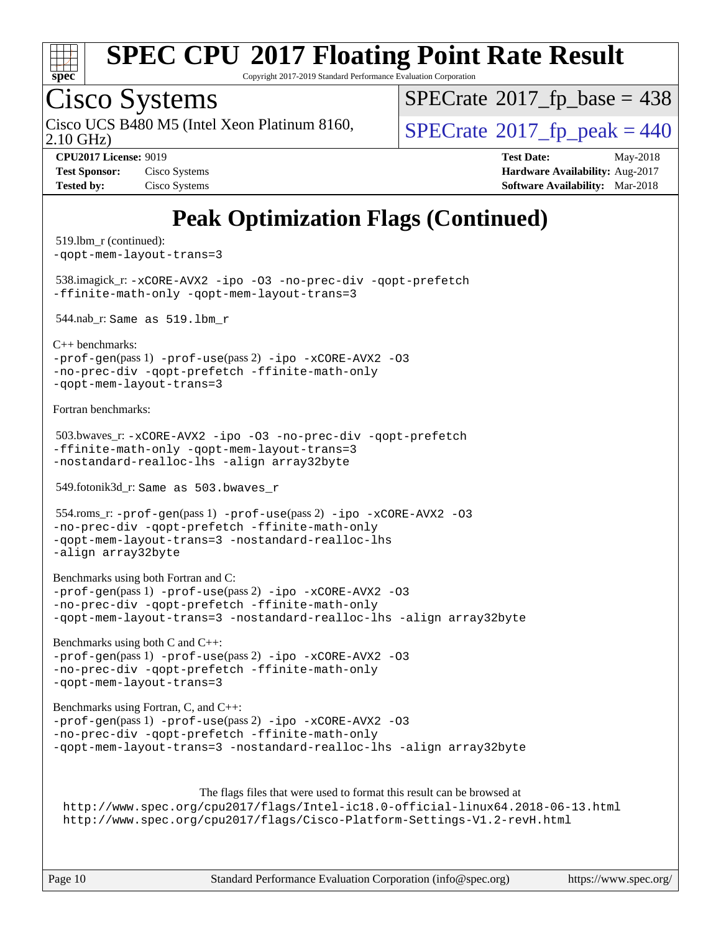

Copyright 2017-2019 Standard Performance Evaluation Corporation

## Cisco Systems

2.10 GHz) Cisco UCS B480 M5 (Intel Xeon Platinum 8160,  $\vert$  [SPECrate](http://www.spec.org/auto/cpu2017/Docs/result-fields.html#SPECrate2017fppeak)®[2017\\_fp\\_peak = 4](http://www.spec.org/auto/cpu2017/Docs/result-fields.html#SPECrate2017fppeak)40

 $SPECTate$ <sup>®</sup>[2017\\_fp\\_base =](http://www.spec.org/auto/cpu2017/Docs/result-fields.html#SPECrate2017fpbase) 438

**[Test Sponsor:](http://www.spec.org/auto/cpu2017/Docs/result-fields.html#TestSponsor)** Cisco Systems **Cisco Systems [Hardware Availability:](http://www.spec.org/auto/cpu2017/Docs/result-fields.html#HardwareAvailability)** Aug-2017 **[Tested by:](http://www.spec.org/auto/cpu2017/Docs/result-fields.html#Testedby)** Cisco Systems **[Software Availability:](http://www.spec.org/auto/cpu2017/Docs/result-fields.html#SoftwareAvailability)** Mar-2018

**[CPU2017 License:](http://www.spec.org/auto/cpu2017/Docs/result-fields.html#CPU2017License)** 9019 **[Test Date:](http://www.spec.org/auto/cpu2017/Docs/result-fields.html#TestDate)** May-2018

## **[Peak Optimization Flags \(Continued\)](http://www.spec.org/auto/cpu2017/Docs/result-fields.html#PeakOptimizationFlags)**

```
 519.lbm_r (continued):
-qopt-mem-layout-trans=3
 538.imagick_r: -xCORE-AVX2 -ipo -O3 -no-prec-div -qopt-prefetch
-ffinite-math-only -qopt-mem-layout-trans=3
 544.nab_r: Same as 519.lbm_r
C++ benchmarks: 
-prof-gen(pass 1) -prof-use(pass 2) -ipo -xCORE-AVX2 -O3
-no-prec-div -qopt-prefetch -ffinite-math-only
-qopt-mem-layout-trans=3
Fortran benchmarks: 
 503.bwaves_r: -xCORE-AVX2 -ipo -O3 -no-prec-div -qopt-prefetch
-ffinite-math-only -qopt-mem-layout-trans=3
-nostandard-realloc-lhs -align array32byte
 549.fotonik3d_r: Same as 503.bwaves_r
 554.roms_r: -prof-gen(pass 1) -prof-use(pass 2) -ipo -xCORE-AVX2 -O3
-no-prec-div -qopt-prefetch -ffinite-math-only
-qopt-mem-layout-trans=3 -nostandard-realloc-lhs
-align array32byte
Benchmarks using both Fortran and C: 
-prof-gen(pass 1) -prof-use(pass 2) -ipo -xCORE-AVX2 -O3
-no-prec-div -qopt-prefetch -ffinite-math-only
-qopt-mem-layout-trans=3 -nostandard-realloc-lhs -align array32byte
Benchmarks using both C and C++: 
-prof-gen(pass 1) -prof-use(pass 2) -ipo -xCORE-AVX2 -O3
-no-prec-div -qopt-prefetch -ffinite-math-only
-qopt-mem-layout-trans=3
Benchmarks using Fortran, C, and C++: 
-prof-gen(pass 1) -prof-use(pass 2) -ipo -xCORE-AVX2 -O3
-no-prec-div -qopt-prefetch -ffinite-math-only
-qopt-mem-layout-trans=3 -nostandard-realloc-lhs -align array32byte
                       The flags files that were used to format this result can be browsed at
 http://www.spec.org/cpu2017/flags/Intel-ic18.0-official-linux64.2018-06-13.html
 http://www.spec.org/cpu2017/flags/Cisco-Platform-Settings-V1.2-revH.html
```